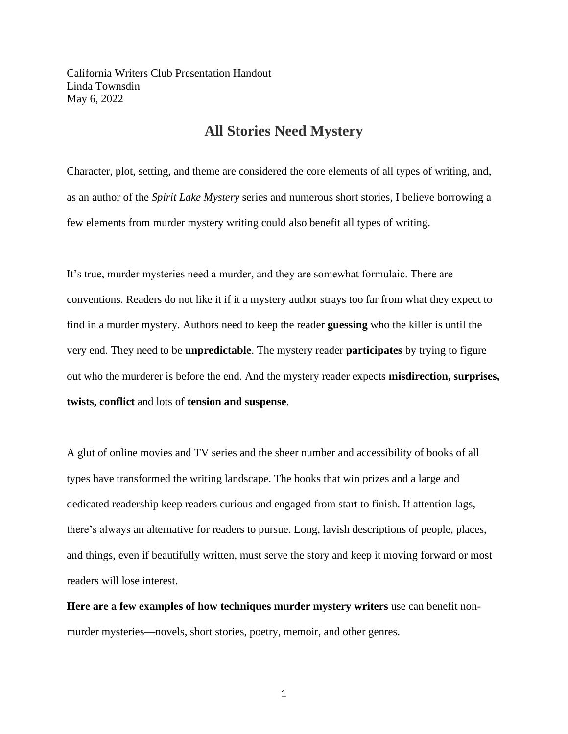California Writers Club Presentation Handout Linda Townsdin May 6, 2022

# **All Stories Need Mystery**

Character, plot, setting, and theme are considered the core elements of all types of writing, and, as an author of the *Spirit Lake Mystery* series and numerous short stories, I believe borrowing a few elements from murder mystery writing could also benefit all types of writing.

It's true, murder mysteries need a murder, and they are somewhat formulaic. There are conventions. Readers do not like it if it a mystery author strays too far from what they expect to find in a murder mystery. Authors need to keep the reader **guessing** who the killer is until the very end. They need to be **unpredictable**. The mystery reader **participates** by trying to figure out who the murderer is before the end. And the mystery reader expects **misdirection, surprises, twists, conflict** and lots of **tension and suspense**.

A glut of online movies and TV series and the sheer number and accessibility of books of all types have transformed the writing landscape. The books that win prizes and a large and dedicated readership keep readers curious and engaged from start to finish. If attention lags, there's always an alternative for readers to pursue. Long, lavish descriptions of people, places, and things, even if beautifully written, must serve the story and keep it moving forward or most readers will lose interest.

**Here are a few examples of how techniques murder mystery writers** use can benefit nonmurder mysteries—novels, short stories, poetry, memoir, and other genres.

1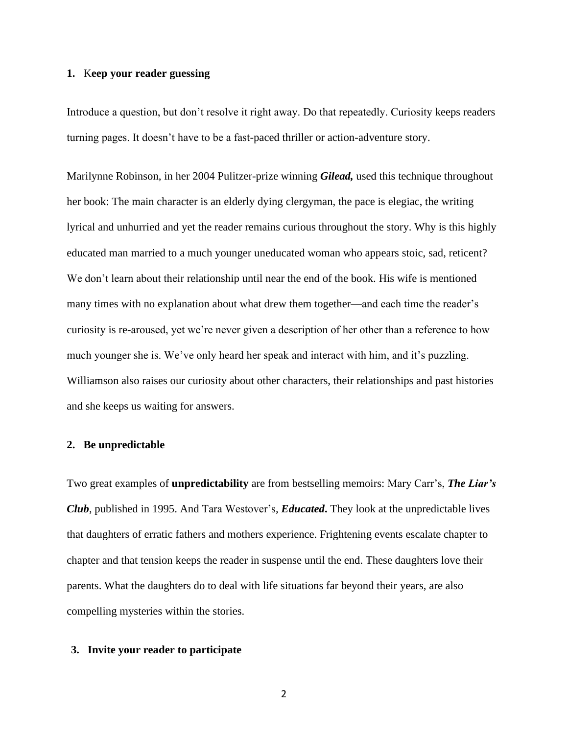## **1.** K**eep your reader guessing**

Introduce a question, but don't resolve it right away. Do that repeatedly. Curiosity keeps readers turning pages. It doesn't have to be a fast-paced thriller or action-adventure story.

Marilynne Robinson, in her 2004 Pulitzer-prize winning *Gilead,* used this technique throughout her book: The main character is an elderly dying clergyman, the pace is elegiac, the writing lyrical and unhurried and yet the reader remains curious throughout the story. Why is this highly educated man married to a much younger uneducated woman who appears stoic, sad, reticent? We don't learn about their relationship until near the end of the book. His wife is mentioned many times with no explanation about what drew them together—and each time the reader's curiosity is re-aroused, yet we're never given a description of her other than a reference to how much younger she is. We've only heard her speak and interact with him, and it's puzzling. Williamson also raises our curiosity about other characters, their relationships and past histories and she keeps us waiting for answers.

### **2. Be unpredictable**

Two great examples of **unpredictability** are from bestselling memoirs: Mary Carr's, *The Liar's Club*, published in 1995. And Tara Westover's, *Educated***.** They look at the unpredictable lives that daughters of erratic fathers and mothers experience. Frightening events escalate chapter to chapter and that tension keeps the reader in suspense until the end. These daughters love their parents. What the daughters do to deal with life situations far beyond their years, are also compelling mysteries within the stories.

## **3. Invite your reader to participate**

2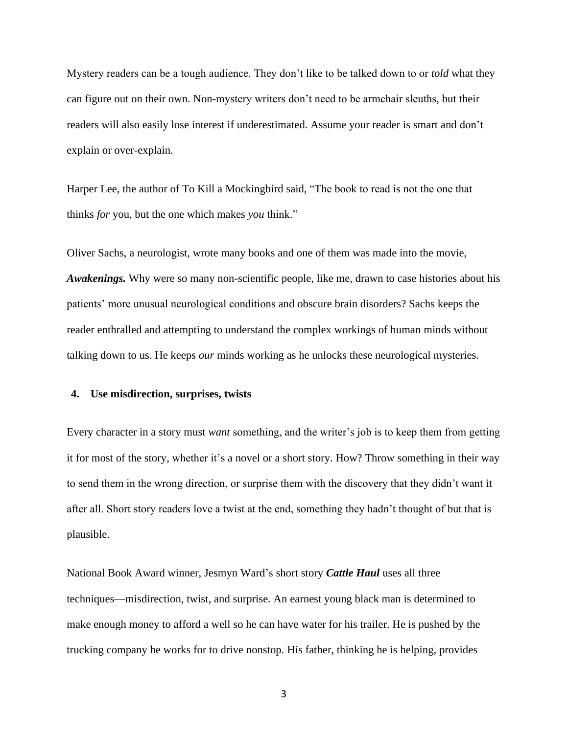Mystery readers can be a tough audience. They don't like to be talked down to or *told* what they can figure out on their own. Non-mystery writers don't need to be armchair sleuths, but their readers will also easily lose interest if underestimated. Assume your reader is smart and don't explain or over-explain.

Harper Lee, the author of To Kill a Mockingbird said, "The book to read is not the one that thinks *for* you, but the one which makes *you* think."

Oliver Sachs, a neurologist, wrote many books and one of them was made into the movie, *Awakenings.* Why were so many non-scientific people, like me, drawn to case histories about his patients' more unusual neurological conditions and obscure brain disorders? Sachs keeps the reader enthralled and attempting to understand the complex workings of human minds without talking down to us. He keeps *our* minds working as he unlocks these neurological mysteries.

#### **4. Use misdirection, surprises, twists**

Every character in a story must *want* something, and the writer's job is to keep them from getting it for most of the story, whether it's a novel or a short story. How? Throw something in their way to send them in the wrong direction, or surprise them with the discovery that they didn't want it after all. Short story readers love a twist at the end, something they hadn't thought of but that is plausible.

National Book Award winner, Jesmyn Ward's short story *Cattle Haul* uses all three techniques—misdirection, twist, and surprise*.* An earnest young black man is determined to make enough money to afford a well so he can have water for his trailer. He is pushed by the trucking company he works for to drive nonstop. His father, thinking he is helping, provides

3